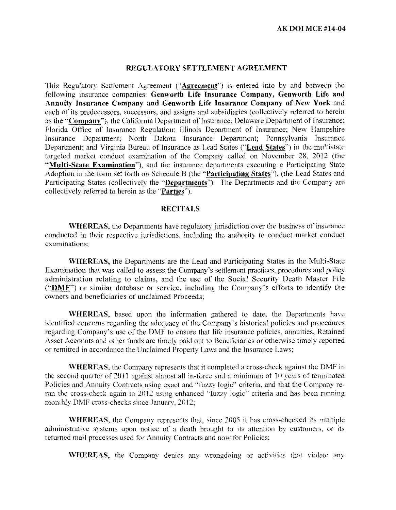### **REGULATORY SETTLEMENT AGREEMENT**

This Regulatory Settlement Agreement **("Agreement")** is entered into by and between the following insurance companies: **Genworth Life Insurance Company, Genworth Life and Annuity Insurance Company and Genworth Life Insurance Company of New York** and each of its predecessors, successors, and assigns and subsidiaries (collectively referred to herein as the "Company"), the California Department of Insurance; Delaware Department of Insurance; Florida Office of Insurance Regulation; Illinois Department of Insurance; New Hampshire Insurance Department; North Dakota Insurance Department; Pennsylvania Insurance Department; and Virginia Bureau of Insurance as Lead States **("Lead States")** in the multistate targeted market conduct examination of the Company called on November 28, 2012 (the **"Multi-State Examination''),** and the insurance departments executing a Participating State Adoption in the form set forth on Schedule B (the **"Participating States"),** (the Lead States and Participating States (collectively the **"Departments").** The Departments and the Company are collectively referred to herein as the **"Parties").** 

### **RECITALS**

**WHEREAS,** the Departments have regulatory jurisdiction over the business of insurance conducted in their respective jurisdictions, including the authority to conduct market conduct examinations;

**WHEREAS,** the Departments are the Lead and Participating States in the Multi-State Examination that was called to assess the Company's settlement practices, procedures and policy administration relating to claims, and the use of the Social Security Death Master File **("DMF")** or similar database or service, including the Company's efforts to identify the owners and beneficiaries of unclaimed Proceeds;

**\VHEREAS,** based upon the infonnation gathered to date, the Departments have identified concerns regarding the adequacy of the Company's historical policies and procedures regarding Company's use of the DMF to ensure that life insurance policies, annuities, Retained Asset Accounts and other funds are timely paid out to Beneficiaries or otherwise timely reported or remitted in accordance the Unclaimed Property Laws and the Insurance Laws:

**\VHEREAS,** the Company represents that it completed a cross-check against the DMF in the second quarter of 2011 against almost all in-force and a minimum of 10 years of terminated Policies and Annuity Contracts using exact and "fuzzy logic" criteria, and that the Company reran the cross-check again in 2012 using enhanced "fuzzy logic" criteria and has been running monthly DMF cross-checks since January, 2012;

**WHEREAS,** the Company represents that, since 2005 it has cross-checked its multiple administrative systems upon notice of a death brought to its attention by customers, or its returned mail processes used for Annuity Contracts and now for Policies;

**WHEREAS,** the Company denies any wrongdoing or activities that violate any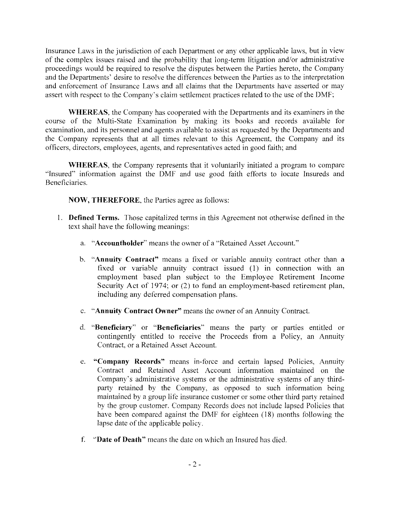Insurance Laws in the jurisdiction of each Department or any other applicable laws, but in view of the complex issues raised and the probability that long-term litigation and/or administrative proceedings would be required to resolve the disputes between the Parties hereto, the Company and the Departments' desire to resolve the differences between the Parties as to the interpretation and enforcement of Insurance Laws and all claims that the Departments have asserted or may assert with respect to the Company's claim settlement practices related to the use of the DMF;

**WHEREAS,** the Company has cooperated with the Departments and its examiners in the course of the Multi-State Examination by making its books and records available for examination, and its personnel and agents available to assist as requested by the Departments and the Company represents that at all times relevant to this Agreement, the Company and its officers, directors. employees, agents, and representatives acted in good faith; and

**WHEREAS,** the Company represents that it voluntarily initiated a program to compare ''Insured" information against the DMF and use good faith efforts to locate Insureds and Beneficiaries.

**NOW, THEREFORE,** the Parties agree as follows:

- 1 . **Defined Terms.** Those capitalized terms in this Agreement not otherwise defined in the text shall have the following meanings:
	- a. **"Accountholder''** means the owner of a "Retained Asset Account.''
	- b. **'"Annuity Contract"** means a fixed or variable annuity contract other than a fixed or variable annuity contract issued (I) in connection with an employment based plan subject to the Employee Retirement Income Security Act of 1974; or (2) to fund an employment-based retirement plan, including any deferred compensation plans.
	- c. **"Annuity Contract Owner"** means the owner of an Annuity Contract.
	- d. **"Beneficiary" or "Beneficiaries"** means the party or parties entitled or contingently entitled to receive the Proceeds from a Policy, an Annuity Contract, or a Retained Asset Account.
	- e. **"Company Records"** means in-force and certain lapsed Policies, Annuity Contract and Retained Asset Account information maintained on the Company's administrative systems or the administrative systems of any thirdparty retained by the Company. as opposed to sueh information being maintained by a group life insurance customer or some other third party retained by the group customer. Company Records does not include lapsed Policies that have been compared against the DMF for eighteen (18) months following the lapse date of the applicable policy.
	- f. **·'Date of Death"** means the date on which an Insured has died.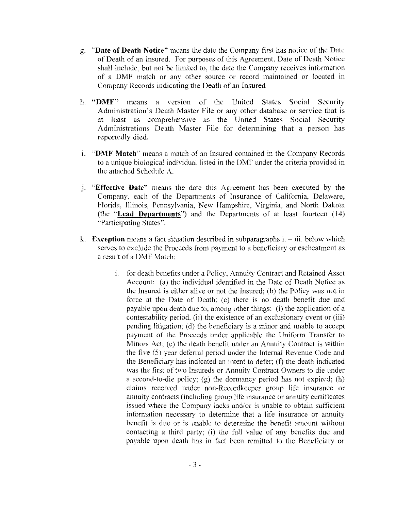- g. **"Date of Death Notice"** means the date the Company first has notice of the Date of Death of an Insured. For purposes of this Agreement, Date of Death Notice shall include, but not be limited to, the date the Company receives infotmation of a DMF match or any other source or record maintained or located in Company Records indicating the Death of an Insured
- h. **"DMF"** means a version of the United States Social Security Administration's Death Master File or any other database or service that is at least as comprehensive as the United States Social Security Administrations Death Master File for determining that a person has reportedly died.
- 1. **"DMF Match"** means a match of an Insured contained in the Company Records to a unique biological individual listed in the DMF under the criteria provided in the attached Schedule A.
- J. **"Effective Date"** means the date this Agreement has been executed by the Company, each of the Departments of Insurance of California, Delaware. Florida, Illinois, Pennsylvania, New Hampshire, Virginia, and North Dakota (the **'·Lead Departments")** and the Departments of at least fourteen (14) "Participating States".
- k. **Exception** means a fact situation described in subparagraphs i. iii. below which serves to exclude the Proceeds from payment to a beneficiary or escheatment as a result of a DMF Match:
	- 1. for death benefits under a Policy, Annuity Contract and Retained Asset Account: (a) the individual identified in the Date of Death Notice as the Insured is either alive or not the Insured; (b) the Policy was not in force at the Date of Death; (c) there is no death benefit due and payable upon death due to. among other things: (i) the application of a contestability period, (ii) the existence of an exclusionary event or (iii) pending litigation; (d) the beneficiary is a minor and unable to accept payment of the Proceeds under applicable the Uniform Transter to Minors Act; (e) the death benefit under an Annuity Contract is within the five (5) year deferral period under the Internal Revenue Code and the Beneficiary has indicated an intent to defer;  $(f)$  the death indicated was the first of two Insureds or Annuity Contract Owners to die under a second-to-die policy;  $(g)$  the dormancy period has not expired; (h) claims received under non-Recordkeeper group life insurance or annuity contracts (including group life insurance or annuity certificates issued where the Company lacks and/or is unable to obtain sufficient information necessary to determine that a life insurance or annuity benefit is due or is unable to determine the benefit amount without contacting a third party; (i) the foll value of any benefits due and payable upon death bas in fact been remitted to the Beneficiary or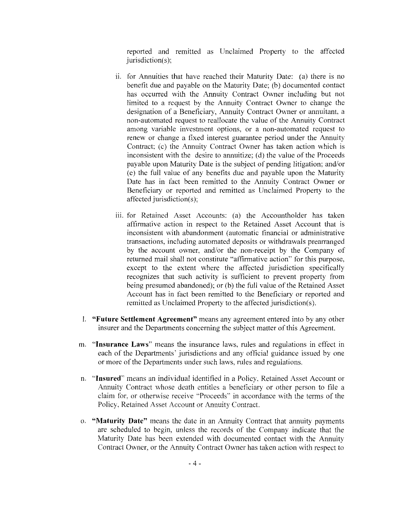reported and remitted as Unclaimed Property to the affected jurisdiction(s);

- ii. for Annuities that have reached their Maturity Date: (a) there is no benefit due and payable on the Maturity Date; (b) documented contact has occurred with the Annuity Contract Owner including but not limited to a request by the Annuity Contract Owner to change the designation of a Beneficiary, Annuity Contract Owner or annuitant, a non-automated request to reallocate the value of the Annuity Contract among variable investment options, or a non-automated request to renew or change a fixed interest guarantee period under the Annuity Contract; (c) the Annuity Contract Owner has taken action which is inconsistent with the desire to annuitize; (d) the value of the Proceeds payable upon Maturity Date is the subject of pending litigation; and/or (e) the full value of any benefits due and payable upon the Maturity Date has in fact been remitted to the Annuity Contract Owner or Beneficiary or reported and remitted as Unclaimed Property to the affected jurisdiction(s);
- iii. for Retained Asset Accounts: (a) the Accountholder has taken affirmative action in respect to the Retained Asset Account that is inconsistent with abandonment (automatic financial or administrative transactions, including automated deposits or withdrawals prearranged by the account ovmer, and/or the non-receipt by the Company of returned mail shall not constitute "affirmative action" for this purpose, except to the extent where the affected jurisdiction specifically recognizes that such activity is sufficient to prevent property from being presumed abandoned); or (b) the full value of the Retained Asset Account has in fact been remitted to the Beneficiary or reported and remitted as Unclaimed Property to the affected jurisdiction(s).
- I. **"Future Settlement Agreement"** means any agreement entered into by any other insurer and the Departments concerning the subject matter of this Agreement.
- m. **'Insurance Laws'** means the insurance laws, rules and regulations in effect in each of the Departments' jurisdictions and any official guidance issued by one or more of the Departments under such laws, rules and regulations.
- n. **"Insured"** means an individual identified in a Policy. Retained Asset Account or Annuity Contract whose death entitles a beneficiary or other person to file a claim for, or otherwise receive ·'Proceeds" in accordance with the terms of the Policy, Retained Asset Account or Annuity Contract.
- o. **"Maturity Date"** means the date in an Annuity Contract that annuity payments are scheduled to begin, unless the records of the Company indicate that the Maturity Date has been extended with documented contact with the Annuity Contract Owner, or the Annuity Contract Owner has taken action with respect to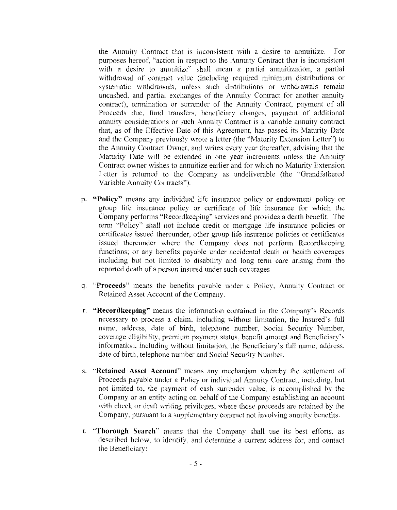the Annuity Contract that is inconsistent with a desire to annuitize. For purposes hereof, "action in respect to the Annuity Contract that is inconsistent with a desire to annuitize" shall mean a partial annuitization, a partial withdrawal of contract value (including required minimum distributions or systematic withdrawals, unless such distributions or withdrawals remain uncashed, and partial exchanges of the Annuity Contract for another annuity contract), termination or surrender of the Annuity Contract, payment of all Proceeds due, fund transfers, beneficiary changes, payment of additional annuity considerations or such Annuity Contract is a variable annuity contract that, as of the Effective Date of this Agreement, has passed its Maturity Date and the Company previously wrote a letter (the "Maturity Extension Letter") to the Annuity Contract Owner, and writes every year thereafter, advising that the Maturity Date will be extended in one year increments unless the Annuity Contract owner wishes to annuitize earlier and for which no Maturity Extension Letter is returned to the Company as undeliverable (the "Grandfathered Variable Annuity Contracts").

- p, **"Policy"** means any individual life insurance policy or endowment policy or group life insurance policy or certificate of life insurance for which the Company performs "Recordkeeping" services and provides a death benefit. The term "Policy'' shall not include credit or mortgage life insurance policies or certificates issued thereunder, other group life insurance policies or certificates issued thereunder where the Company does not perform Recordkeeping functions; or any benefits payable under accidental death or health coverages including but not limited to disability and long term care arising from the reported death of a person insured under such coverages.
- q. **"Proceeds"** means the benefits payable under a Policy, Annuity Contract or Retained Asset Account of the Company.
- r. **"Recordkecping"** means the information contained in the Company's Records necessary to process a claim, including without limitation, the Insured's full name, address, date of birth, telephone number, Social Security Number. coverage eligibility, premium payment status, benefit amount and Beneficiary's infornmtion. including without limitation, the Beneficiary's full name, address, date of birth, telephone number and Social Security Number.
- s. **"Retained Asset Account"** means any mechanism whereby the settlement of Proceeds payable under a Policy or individual Annuity Contract, including, but not limited to, the payment of cash surrender value, is accomplished by the Company or an entity acting on behalf of the Company establishing an account with check or draft writing privileges, where those proceeds are retained by the Company, pursuant to a supplementary contract not involving annuity benefits.
- t. **"Thorough Search''** means that the Company shall use its best effons. as described below, to identify, and determine a current address for, and contact the Beneficiary: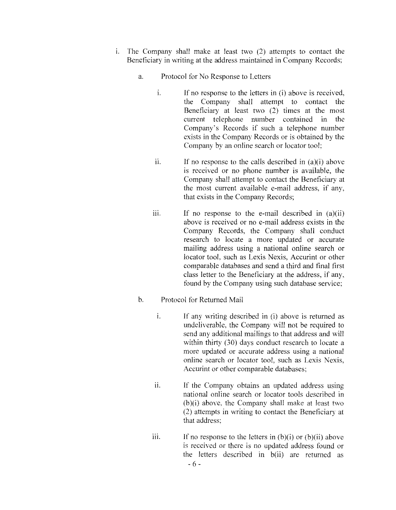- i. The Company shall make at least two (2) attempts to contact the Beneficiary in writing at the address maintained in Company Records:
	- a. Protocol for No Response to Letters
		- i. If no response to the letters in (i) above is received, the Company shall attempt to contact the Beneficiary at least two (2) times at the most current telephone number contained in the Company's Records if such a telephone number exists in the Company Records or is obtained by the Company by an online search or locator tool:
		- $\ddot{\text{1}}$ . If no response to the calls described in (a)(i) above is received or no phone number is available, the Company shall attempt to contact the Beneficiary at the most current available e-mail address, if any, that exists in the Company Records;
		- iii. **If** no response to the e-mail described in (a)(ii) above is received or no e-mail address exists in the Company Records, the Company shall conduct research to locate a more updated or accurate mailing address using a national online search or locator tool, such as Lexis Nexis, Accurint or other comparable databases and send a third and final first class letter to the Beneficiary at the address, **if** any, found by the Company using such database service;
	- b. Protocol for Returned Mail
		- 1. If any writing described in (i) above is returned as undeliverable, the Company will not be required to send any additional mailings to that address and will within thirty (30) days conduct research to locate a more updated or accurate address using a national onlinc search or locator tool, such as Lexis Nexis, Accurint or other comparable databases;
		- ii. If the Company obtains an updated address using national online search or locator tools described in (b)(i) above, the Company shall make at least two (2) attempts in writing to contact the Beneficiary at that address;
		- iii. If no response to the letters in  $(b)(i)$  or  $(b)(ii)$  above is received or there is no updated address found or the letters described in b(ii) are returned as - 6 -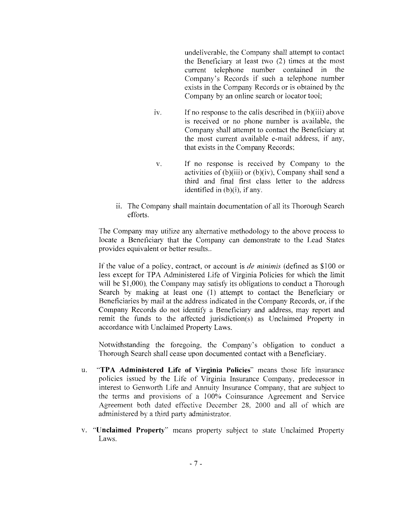undeliverable, the Company shall attempt to contact the Beneficiary at least two (2) times at the most current telephone number contained in the Company's Records if such a telephone number exists in the Company Records or is obtained by the Company by an online search or locator tool;

- $iv.$  If no response to the calls described in  $(b)(iii)$  above is received or no phone number is available, the Company shall attempt to contact the Beneficiary at the most current available e-mail address, if any, that exists in the Company Records;
- v. If no response is received by Company to the activities of (b)(iii) or (b)(iv), Company shall send a third and final first class letter to the address identified in  $(b)(i)$ , if any.
- ii. The Company shall maintain documentation of all its Thorough Search efforts.

The Company may utilize any alternative methodology to the above process to locate a Beneficiary that the Company can demonstrate to the Lead States provides equivalent or better results..

If the value of a policy, contract, or account is *de minimis* (defined as \$100 or less except for TPA Administered Life of Virginia Policies for which the limit will be \$1,000), the Company may satisfy its obligations to conduct a Thorough Search by making at least one (I) attempt to contact the Beneficiary or Beneficiaries by mail at the address indicated in the Company Records, or, if the Company Records do not identify a Beneficiary and address, may report and remit the funds to the affected jurisdiction(s) as Unclaimed Property in accordance with Unclaimed Property Laws.

Notwithstanding the foregoing, the Company's obligation to conduct a Thorough Search shall cease upon documented contact with a Beneficiary.

- u. **"TPA Administered Life of Virginia Policies"** means those life insurance policies issued by the Life of Virginia Insurance Company, predecessor in interest to Genworth Life and Annuity Insurance Company, that are subject to the terms and provisions of a 100% Coinsurance Agreement and Service Agreement both dated effective December 28, 2000 and all of which arc administered by a third party administrator.
- v. **"Unclaimed Property''** means property subject to state Unclaimed Property Laws.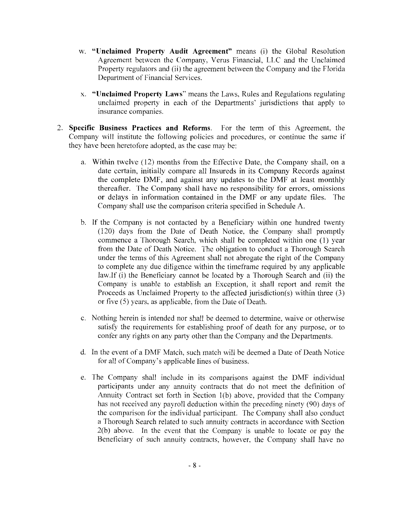- w. **"Unclaimed Property Audit Agreement"** means (i) the Global Resolution Agreement between the Company, Verus Financial, LLC and the Unclaimed Property regulators and (ii) the agreement between the Company and the Florida Department of Financial Services.
- x. **"Unclaimed Property Laws"** means the Laws, Rules and Regulations regulating unclaimed property in each of the Departments' jurisdictions that apply to insurance companies.
- 2. **Specific Business Practices and Reforms**. For the term of this Agreement, the Company will institute the following policies and procedures. or continue the same if they have been heretofore adopted, as the case may be:
	- a. Within twelve ( 12) months from the Effective Date, the Company shall. on a date certain, initially compare all Insureds in its Company Records against the complete DMF, and against any updates to the DMF at least monthly thereafter. The Company shall have no responsibility for errors. omissions or delays in information contained in the DMF or any update files. The Company shall use the comparison criteria specified in Schedule A.
	- b. If the Company is not contacted by a Beneficiary within one hundred twenty (120) days from the Date of Death Notice, the Company shall promptly commence a Thorough Search, which shall be completed within one (I) year from the Date of Death Notice. The obligation to conduct a Thorough Search under the terms of this Agreement shall not abrogate the right of the Company to complete any due diligence within the timeframe required by any applicable law.If (i) the Beneficiary cannot be located by a Thorough Search and (ii) the Company is unable to establish an Exception, it shall report and remit the Proceeds as Unclaimed Property to the affected jurisdiction(s) within three (3) or five (5) years, as applicable, from the Date of Death.
	- c. Nothing herein is intended nor shall be deemed to determine, waive or otherwise satisfy the requirements for establishing proof of death for any purpose, or to confer any rights on any party other than the Company and the Departments.
	- d. In the event of a DMF Match, such match will be deemed a Date of Death Notice for all of Company's applicable lines of business.
	- e. The Company shall include in its comparisons against the DMF individual participants under any annuity contracts that do not meet the definition of Annuity Contract set forth in Section 1(b) above, provided that the Company has not received any payroll deduction within the preceding ninety (90) days of the comparison for the individual participant. The Company shall also conduct a Thorough Search related to such annuity contracts in accordance with Section 2(b) above. In the event that the Company is unable to locate or pay the Beneficiary of such annuity contracts, however, the Company shall have no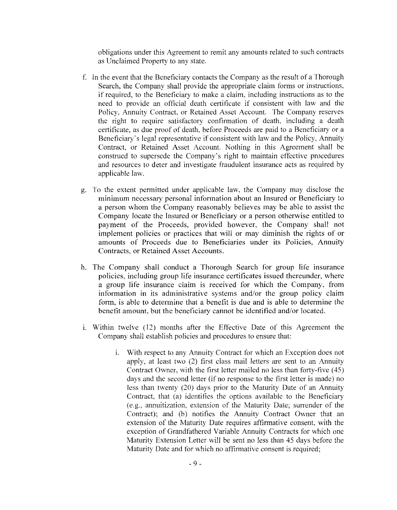obligations under this Agreement to remit any amounts related to such contracts as Unclaimed Property to any state.

- f. In the event that the Beneficiary contacts the Company as the result of a Thorough Search, the Company shall provide the appropriate claim forms or instructions, if required, to the Beneficiary to make a claim, including instructions as to the need to provide an official death certificate if consistent with law and the Policy, Annuity Contract, or Retained Asset Account. The Company reserves the right to require satisfactory confirmation of death, including a death certificate, as due proof of death. before Proceeds are paid to a Beneficiary or a Beneficiary's legal representative if consistent with law and the Policy, Annuity Contract, or Retained Asset Account. Nothing in this Agreement shall be construed to supersede the Company's right to maintain effective procedures and resources to deter and investigate fraudulent insurance acts as required by applicable law.
- g. To the extent permitted under applicable law, the Company may disclose the minimum necessary personal information about an Insured or Beneficiary to a person whom the Company reasonably believes may be able to assist the Company locate the Insured or Beneficiary or a person otherwise entitled to payment of the Proceeds, provided however, the Company shall not implement policies or practices that will or may diminish the rights of or amounts of Proceeds due to Beneficiaries under its Policies, Annuity Contracts, or Retained Asset Accounts.
- h. The Company shall conduct a Thorough Search for group life insurance policies. including group life insurance certificates issued thereunder. where a group life insurance claim is received for which the Company, from information in its administrative systems and/or the group policy claim form, is able to determine that a benefit is due and is able to determine the benefit amount, but the beneficiary cannot be identified and/or located.
- 1. Within twelve (12) months after the Effective Date of this Agreement the Company shall establish policies and procedures to ensure that:
	- 1. With respect to any Annuity Contract for which an Exception does not apply, at least two (2) first class mail letters are sent to an Annuity Contract Owner, with the first letter mailed no less than forty-five  $(45)$ days and the second letter (if no response to the first letter is made) no less than twenty (20) days prior to the Maturity Date of an Annuity Contract, that (a) identifies the options available to the Beneficiary (e.g., annuitization, extension of the Maturity Date; surrender of the Contract); and (b) notifies the Annuity Contract Owner that an extension of the Maturity Date requires affirmative consent, with the exception of Grandfathered Variable Annuity Contracts for which one Maturity Extension Letter will be sent no less than 45 days before the Maturity Date and for which no affirmative consent is required;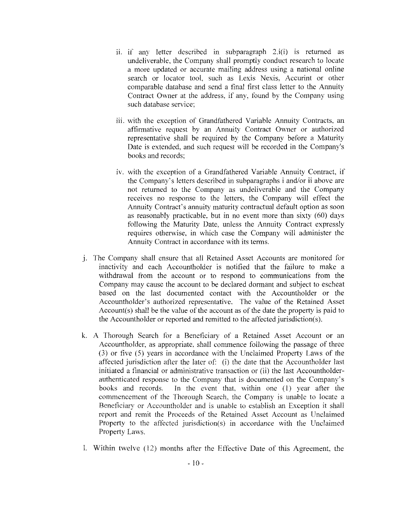- ii. if any letter described in subparagraph 2.i(i) is returned as undeliverable. the Company shall promptly conduct research to locate a more updated or accurate mailing address using a national online search or locator tool, such as Lexis Nexis, Accurint or other comparable database and send a final first class letter to the Annuity Contract Owner at the address, if any. found by the Company using such database service;
- iii. with the exception of Grandfathered Variable Annuity Contracts, an affirmative request by an Annuity Contract Owner or authorized representative shall be required by the Company before a Maturity Date is extended, and such request will be recorded in the Company's books and records;
- iv. with the exception of a Grandfathered Variable Annuity Contract. if the Company's letters described in subparagraphs i and/or ii above are not returned to the Company as undeliverable and the Company receives no response to the letters, the Company will effect the Annuity Contract's annuity maturity contractual default option as soon as reasonably practicable. but in no event more than sixty (60) days following the Maturity Date, unless the Annuity Contract expressly requires otherwise, in which case the Company will administer the Annuity Contract in accordance with its terms.
- j. The Company shall ensure that all Retained Asset Accounts are monitored for inactivity and each Accountholder is notified that the failure to make a withdrawal from the account or to respond to communications from the Company may cause the account to be declared dormant and subject to escheat based on the last documented contact with the Accountholder or the Accountholder's authorized representative. The value of the Retained Asset Account(s) shall be the value of the account as of the date the property is paid to the Accountholder or reported and remitted to the affected jurisdiction(s).
- k. A Thorough Search for a Beneficiary of a Retained Asset Account or an Accountholder, as appropriate, shall commence following the passage of three (3) or five (5) years in accordance with the Unclaimed Property Laws of the affected jurisdiction after the later of: (i) the date that the Accountholder last initiated a financial or administrative transaction or (ii) the last Accountholderauthenticated response to the Company that is documented on the Company's books and records. Jn the event that, within one (I) year after the commencement of the Thorough Search, the Company is unable to locate a Beneficiary or Accountholder and is unable to establish an Exception it shall report and remit the Proceeds of the Retained Asset Account as Unclaimed Property to the affected jurisdiction(s) in accordance with the Unclaimed Property Laws.
- l. Within twelve ( 12) months after the Effective Date of this Agreement, the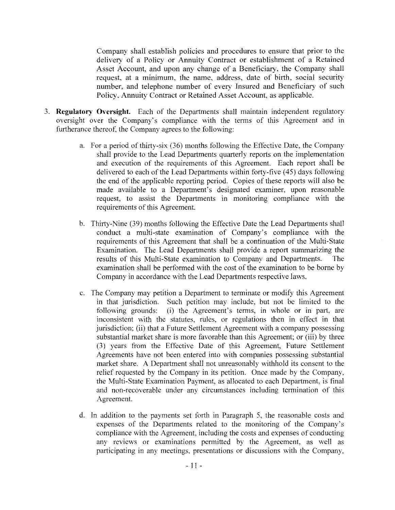Company shall establish policies and procedures to ensure that prior to the delivery of a Policy or Annuity Contract or establishment of a Retained Asset Account, and upon any change of a Beneficiary, the Company shall request, at a minimum, the name, address, date of birth, social security number, and telephone number of every Insured and Beneficiary of such Policy. Annuity Contract or Retained Asset Account, as applicable.

- 3. **Regulatory Oversight.** Each of the Departments shall maintain independent regulatory oversight over the Company's compliance with the terms of this Agreement and in furtherance thereof, the Company agrees to the following:
	- a. For a period of thirty-six (36) months following the Effective Date, the Company shall provide to the Lead Departments quarterly reports on the implementation and execution of the requirements of this Agreement. Each report shall be delivered to each of the Lead Departments within forty-five (45) days following the end of the applicable reporting period. Copies of these reports will also be made available to a Department's designated examiner, upon reasonable request, to assist the Departments in monitoring compliance with the requirements of this Agreement.
	- b. Thirty-Nine (39) months following the Effective Date the Lead Departments shall conduct a multi-state examination of Company's compliance with the requirements of this Agreement that shall be a continuation of the Multi-State Examination. The Lead Departments shall provide a report summarizing the results of this Multi-State examination to Company and Departments. The examination shall be performed with the cost of the examination to be borne by Company in accordance with the Lead Departments respective laws.
	- c. The Company may petition a Department to terminate or modify this Agreement in that jurisdiction. Such petition may include, but not be limited to the following grounds: (i) the Agreement's terms, in whole or in part, are inconsistent with the statutes, mies, or regulations then in effoct in that jurisdiction; (ii) that a Future Settlement Agreement with a company possessing substantial market share is more favorable than this Agreement; or (iii) by three (3) years from the Effective Date of this Agreement, Future Settlement Agreements have not been entered into with companies possessing substantial market share. A Department shall not unreasonably withhold its consent to the relief requested by the Company in its petition. Once made by the Company, the Multi-State Examination Payment. as allocated to each Department, is final and non-recoverable under any circumstances including termination of this Agreement.
	- d. In addition to the payments set forth in Paragraph 5. the reasonable costs and expenses of the Departments related to the monitoring of the Company's compliance with the Agreement, including the costs and expenses of conducting any reviews or examinations permitted by the Agreement, as well as participating in any meetings. presentations or discussions with the Company,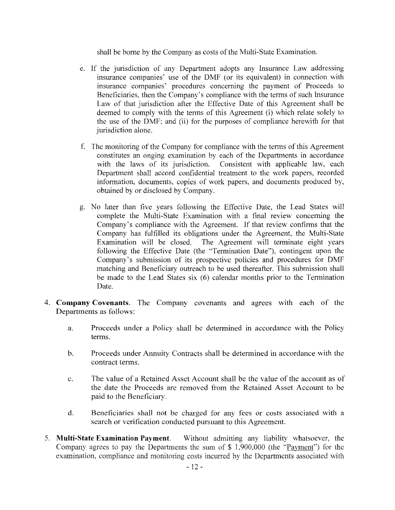shall be borne by the Company as costs of the Multi-State Examination.

- e. If the jurisdiction of any Department adopts any Insurance Law addressing insurance companies' use of the DMF (or its equivalent) in connection with insurance companies' procedures concerning the paymeut of Proceeds to Beneficiaries, then the Company's compliance with the terms of such Insurance Law of that jurisdiction after the Effective Date of this Agreement shall be deemed to comply with the terms of this Agreement (i) which relate solely to the use of the DMF; and (ii) for the purposes of compliance herewith for that jurisdiction alone.
- t: The monitoring of the Company for compliance with the tenns of this Agreement constitutes an onging examination by each of the Departments in accordance with the laws of its jurisdiction. Consistent with applicable law, each Department shall accord confidential treatment to the work papers, recorded information, documents, copies of work papers, and documents produced by, obtained by or disclosed by Company.
- g. No later than five years following the Effective Date, the Lead States will complete the Multi-State Examination with a final review concerning the Company's compliance with the Agreement. If that review confirms that the Company has fulfilled its obligations under the Agreement, the Multi-State Examination will be closed. The Agreement will terminate eight years following the Effective Date (the "Termination Date"), contingent upon the Company's submission of its prospective policies and procedures for DMF matching and Beneficiary outreach to be used thereafter. This submission shall be made to the Lead States six (6) calendar months prior to the Termination Date.
- 4. **Company Covenants.** The Company covenants and agrees with each of the Departments as follows:
	- a. Proceeds under a Policy shall be determined in accordance with the Policy terms.
	- b. Proceeds under Annuity Contracts shall be determined in accordance with the contract terms.
	- c. The value of a Retained Asset Account shall be the value of the account as of the date the Proceeds are removed from the Retained Asset Account to be paid to the Beneficiary.
	- d. Beneficiaries shall not be charged for any fees or costs associated with a search or verification conducted pursuant to this Agreement.
- 5. **Multi-State Examination Payment.** Without admitting any liability whatsoever, the Company agrees to pay the Departments the sum of  $$1,900,000$  (the "Payment") for the examination. compliance and monitoring costs incurred by the Departments associated with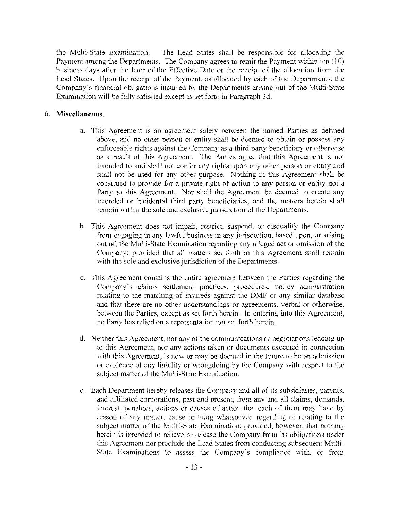the Multi-State Examination. The Lead States shall be responsible for allocating the Payment among the Departments. The Company agrees to remit the Payment within ten (10) business days after the later of the Effective Date or the receipt of the allocation from the Lead States. Upon the receipt of the Payment, as allocated by each of the Departments, the Company's financial obligations incurred by the Departments arising out of the Multi-State Examination will be fully satisfied except as set forth in Paragraph 3d.

## 6. **Miscellaneous.**

- a. This Agreement is an agreement solely between the named Parties as defined above, and no other person or entity shall be deemed to obtain or possess any enforceable rights against the Company as a third party beneficiary or otherwise as a result of this Agreement. The Parties agree that this Agreement is not intended to and shall not confer any rights upon any other person or entity and shall not be used for any other purpose. Nothing in this Agreement shall be construed to provide for a private right of action to any person or entity not a Party to this Agreement. Nor shall the Agreement be deemed to create any intended or incidental third party beneficiaries, and the matters herein shall remain within the sole and exclusive jurisdiction of the Departments.
- b. This Agreement does not impair. restrict, suspend, or disqualify the Company from engaging in any lawful business in any jurisdiction, based upon, or arising out ot; the Multi-State Examination regarding any alleged act or omission of the Company; provided that all matters set forth in this Agreement shall remain with the sole and exclusive jurisdiction of the Departments.
- c. This Agreement contains the entire agreement between the Parties regarding the Company's claims settlement practices, procedures, policy administration relating to the matching of Insureds against the DMF or any similar database and that there are no other understandings or agreements, verbal or otherwise, between the Parties, except as set forth herein. In entering into this Agreement, no Party has relied on a representation not set forth herein.
- d. Neither this Agreement, nor any of the communications or negotiations leading up to this Agreement, nor any actions taken or documents executed in connection with this Agreement, is now or may be deemed in the future to be an admission or evidence of any liability or wrongdoing by the Company with respect to the subject matter of the Multi-State Examination.
- e. Each Department hereby releases the Company and all of its subsidiaries, parents, and affiliated corporations, past and present, from any and all claims, demands, interest, penalties, actions or causes of action that each of them may have by reason of any matter, cause or thing whatsoever, regarding or relating to the subject matter of the Multi-State Examination; provided, however, that nothing herein is intended to relieve or release the Company from its obligations under this Agreement nor preclude the Lead States from conducting subsequent Multi-State Examinations to assess the Company's compliance with, or from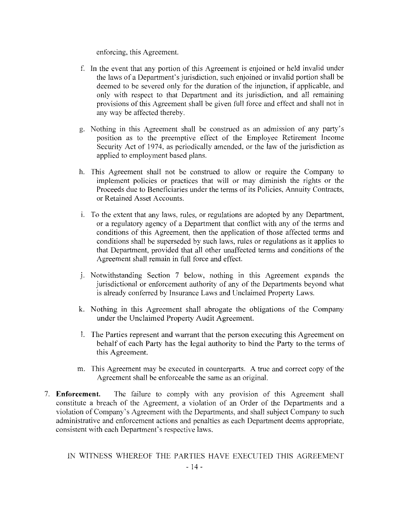enforcing, this Agreement.

- f. In the event that any portion of this Agreement is enjoined or held invalid under the laws of a Department's jurisdiction, such enjoined or invalid portion shall be deemed to be severed only for the duration of the injunction, if applicable, and only with respect to that Department and its jurisdiction, and all remaining provisions of this Agreement shall be given full force and effect and shall not in any way be affected thereby.
- g. Nothing in this Agreement shall be construed as an admission of any party's position as to the preemptive effect of the Employee Retirement Income Security Act of 1974, as periodically amended, or the law of the jurisdiction as applied to employment based plans.
- h. This Agreement shall not be construed to allow or require the Company to implement policies or practices that will or may diminish the rights or the Proceeds due to Beneficiaries under the terms of its Policies, Annuity Contracts, or Retained Asset Accounts.
- i. To the extent that any laws, rules, or regulations are adopted by any Department, or a regulatory agency of a Department that conflict with any of the terms and conditions of this Agreement, then the application of those affocted terms and conditions shall be superseded by such laws, rules or regulations as it applies to that Department, provided that all other unaffected terms and conditions of the Agreement shall remain in full force and eftect.
- J. Notwithstanding Section 7 below, nothing in this Agreement expands the jurisdictional or enforcement authority of any of the Departments beyond what is already conferred by Insurance Laws and Unclaimed Property Laws.
- k. Nothing in this Agreement shall abrogate the obligations of the Company under the Unclaimed Property Audit Agreement.
- L The Parties represent and warrant that the person executing this Agreement on behalf of eaeh Party has the legal authority to bind the Party to the terms of this Agreement
- m. This Agreement may be executed in counterparts. A true and correct copy of the Agreement shall be enforceable the same as an original.
- 7. **Enforcement.** The failure to comply with any provision of this Agreement shall constitute a breach of the Agreement, a violation of an Order of the Departments and a violation of Company's Agreement with the Departments, and shall subject Company to such administrative and enforcement actions and penalties as each Department deems appropriate, consistent with each Department's respective laws.

JN WITNESS WHEREOF THE PARTIES HAVE EXECUTED THIS AGREEMENT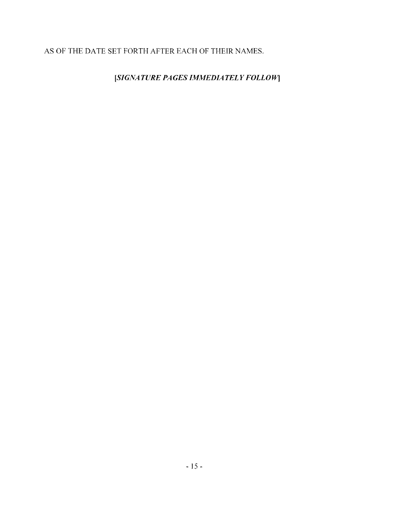# AS OF THE DATE SET FORTH AFTER EACH OF THEIR NAMES.

[SIGNATURE PAGES IMMEDIATELY FOLLOW]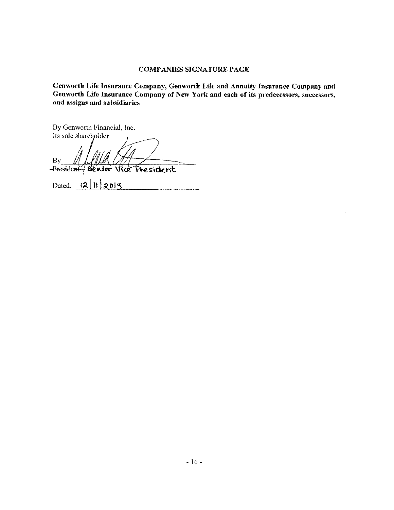### COMPANIES SIGNATURE PAGE

Genworth Life Insurance Company, Genworth Life and Annuity Insurance Company aud Genworth Life Insurance Company of New York and each of its predecessors, successors, and assigns and subsidiaries

By Genworth Financial, Inc. By Genworth Financial, Inc.<br>Its sole shareholder

 $By_{\perp}$ <u>President</u>  $H_{\rm By}$  fl/JMA  $H_{\rm President}$ <br>President  $\frac{12|11|2013}{2015}$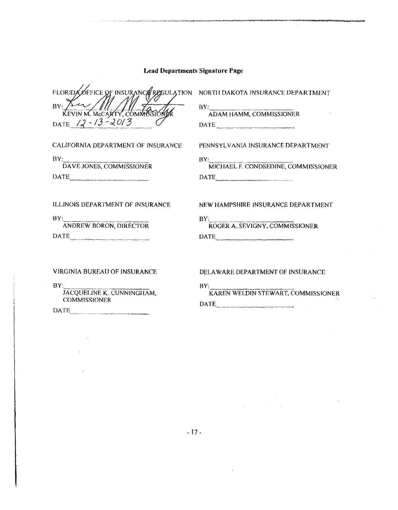|  | <b>Lead Departments Signature Page</b> |  |  |
|--|----------------------------------------|--|--|
|--|----------------------------------------|--|--|

FLORIDA OFFICE OF INSURANCE RESOLATION NORTH DAKOTA INSURANCE DEPARTMENT  $BY: A \rightarrow A$ KEVIN M. MCCARTY, COMMIS DATE  $12 - 13 - 2013$ 

CALIFORNIA DEPARTMEN'f OF INSURANCE

 $\overline{\mathbf{B}}\mathbf{Y}^{\perp}$ DAVE JONES, COMMISSIONER DATE

 $BY:$ ADAM HAMM, COMMISSIONER DATE

PENNSYLVANIA INSURANCE DEPARTMENT

BY: r;;f1c;:1;,:i~Lr c<JNDSEDJNE, O)MM1ss10NER DATE\_\_\_\_ ---~ \_\_ \_

ILL!NOIS DEPARTMENT OF INSURANCE

BY: ANDREW BORON, DIRECTOR DATE \_\_\_\_\_\_\_\_\_\_\_\_\_\_\_\_\_\_\_\_\_\_\_\_\_ \_

### NEW HAMPSHIRE INSURANCE DEPARTMENT

| $\mathbf{R}$ $\mathbf{V}$<br>ROGER A. SEVIGNY, COMMISSIONER |
|-------------------------------------------------------------|
| DATE.                                                       |

VIRGINIA BUREAU OF INSURANCE

 $BY:$ 

JACQUELINE K. CUNNINGHAM, COMMISSIONER

DATE \_\_\_\_\_\_\_\_ -----------

#### DELAWARE DEPARTMENT OF INSURANCE

BY:<br>KAREN WELDIN STEWART, COMMISSIONER DATE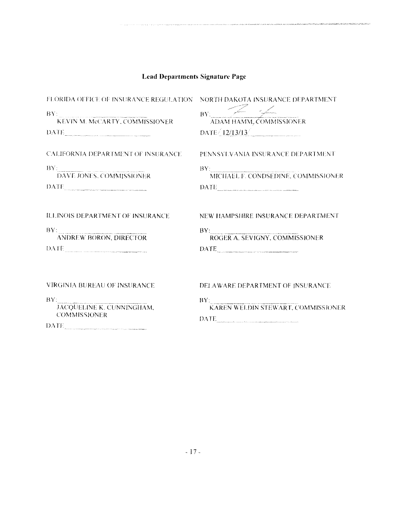| <b>Lead Departments Signature Page</b>                                                                                                                                                                                                                                                                           |                                                                                                                |  |
|------------------------------------------------------------------------------------------------------------------------------------------------------------------------------------------------------------------------------------------------------------------------------------------------------------------|----------------------------------------------------------------------------------------------------------------|--|
| FLORIDA OFFICE OF INSURANCE REGULATION<br>BY:<br>KEVIN M. MCCARTY, COMMISSIONER<br>DATE AND ALL PROPERTY AND RESIDENCE AND ALL PROPERTY OF THE CONDITIONS OF THE CONDITIONS OF THE CONDITIONS OF THE CONDITIONS OF THE CONDITIONS OF THE CONDITIONS OF THE CONDITIONS OF THE CONDITIONS OF THE CONDITIONS OF THE | NORTH DAKOTA INSURANCE DEPARTMENT<br>BY: ADAM HAMM, COMMISSIONER<br>$\text{DATE} / 12/13/13$                   |  |
| <b>CALIFORNIA DEPARTMENT OF INSURANCE</b><br>BY:<br>:<br>DAVE JONES, COMMISSIONER<br>$\begin{tabular}{ c c c c } \hline \text{DATE} & \textcolor{red}{\textbf{0.0002}} \\ \hline \end{tabular}$                                                                                                                  | PENNSYLVANIA INSURANCE DEPARTMENT<br>BY: MICHAEL F. CONDSEDINE, COMMISSIONER<br>DATE__________________________ |  |
| ILLINOIS DEPARTMENT OF INSURANCE<br>BY:<br><b>ANDREW BORON, DIRECTOR</b><br>DATE                                                                                                                                                                                                                                 | NEW HAMPSHIRE INSURANCE DEPARTMENT<br>BY:<br>ROGER A. SEVIGNY, COMMISSIONER<br>DATE                            |  |
| VIRGINIA BUREAU OF INSURANCE<br>BY:<br>JACQUELINE K. CUNNINGHAM.<br><b>COMMISSIONER</b>                                                                                                                                                                                                                          | DELAWARE DEPARTMENT OF INSURANCE<br>BV.<br>アキュニアア アール                                                          |  |

 $\begin{tabular}{|c|c|} \hline \textbf{DATE} & \textbf{0.0001} & \textbf{0.0001} \\ \hline \end{tabular}$ 

 $\text{DATE}_{\text{inert}} \leftarrow \text{DATE}$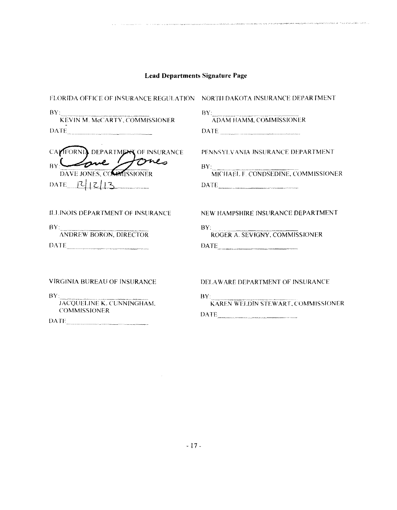and the company of the same

.<br>Председности в середнострова в соберени состранни в состранному состранения по сострания сострания по сострани сострани сострани сострани сострани сострани сострани сострани сострани со

| <b>FLORIDA OFFICE OF INSURANCE REGULATION NORTH DAKOTA INSURANCE DEPARTMENT</b> |                                                                                                                   |
|---------------------------------------------------------------------------------|-------------------------------------------------------------------------------------------------------------------|
| $BY^{\perp}$<br>:<br>KEVIN M. McCARTY, COMMISSIONER                             | BY: ADAM HAMM, COMMISSIONER<br>DATE                                                                               |
| DEPARTMENT OF INSURANCE                                                         | PENNSYLVANIA INSURANCE DEPARTMENT                                                                                 |
| DAVE JONES, COMMISSIONER                                                        | BY: MICHAEL F. CONDSEDINE, COMMISSIONER                                                                           |
| DATE $12/13$                                                                    | DATE                                                                                                              |
| ILLINOIS DEPARTMENT OF INSURANCE                                                | NEW HAMPSHIRE INSURANCE DEPARTMENT                                                                                |
| BY:                                                                             | BY:                                                                                                               |
| ANDREW BORON, DIRECTOR                                                          | ROGER A. SEVIGNY, COMMISSIONER                                                                                    |
| DATE                                                                            | DATE                                                                                                              |
| <b>VIRGINIA BUREAU OF INSURANCE</b>                                             | DELAWARE DEPARTMENT OF INSURANCE                                                                                  |
| BY:                                                                             | BY: KAREN WELDIN STEWART, COMMISSIONER                                                                            |
| JACQUELINE K. CUNNINGHAM.                                                       | DATE.                                                                                                             |
| <b>COMMISSIONER</b>                                                             | .<br>1990 - De Grander de Grander de Grander de Grander de Grander de Grander de Grander de Grander de Grander de |

 $\begin{tabular}{|c|c|c|} \hline \textbf{DATE} & \textbf{if} & \textbf{if} \\ \hline \end{tabular}$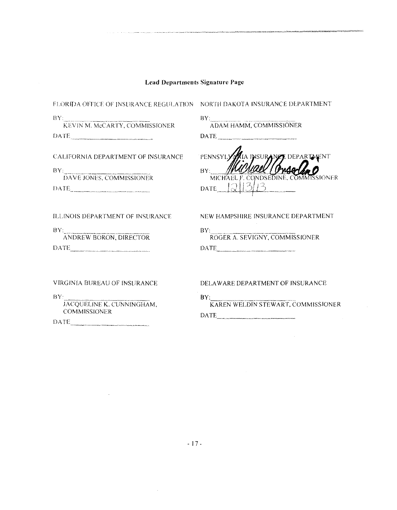**Service** State

 $\sim$ 

.<br>Ariotaministraturadoristoja

 $\sim 400$ 

 $\sim 10^{-1}$ 

| FLORIDA OFFICE OF INSURANCE REGULATION NORTH DAKOTA INSURANCE DEPARTMENT                                       |                                                                                                                                                                                                                                                                                                                                                                                                                                                                                                 |
|----------------------------------------------------------------------------------------------------------------|-------------------------------------------------------------------------------------------------------------------------------------------------------------------------------------------------------------------------------------------------------------------------------------------------------------------------------------------------------------------------------------------------------------------------------------------------------------------------------------------------|
| $\frac{\rm BY}{\rm KEVIN~M.~MeCARTY, COMMISSIONER}$<br>DATE                                                    | BY: ADAM HAMM, COMMISSIONER<br>$\begin{tabular}{ c c c } \hline \multicolumn{3}{ c }{\textbf{DATE}} & \multicolumn{3}{ c }{\textbf{DATE}} \\ \hline \multicolumn{3}{ c }{\textbf{DATE}} & \multicolumn{3}{ c }{\textbf{DATE}} \\ \hline \multicolumn{3}{ c }{\textbf{DATE}} & \multicolumn{3}{ c }{\textbf{DATE}} \\ \hline \multicolumn{3}{ c }{\textbf{DATE}} & \multicolumn{3}{ c }{\textbf{DATE}} \\ \hline \multicolumn{3}{ c }{\textbf{DATE}} & \multicolumn{3}{ c }{\textbf{DATE}} \\ \$ |
| <b>CALIFORNIA DEPARTMENT OF INSURANCE</b><br>BY: DAVE JONES, COMMISSIONER<br>DATE                              | .<br>IA INSURANZE DEPARTA ENT<br><b>PENNSYLY</b><br>BY:<br>MICHAEL F. CONDSEDINE, COMMISSIONER<br>DATE $[2][3/13]$                                                                                                                                                                                                                                                                                                                                                                              |
| ILLINOIS DEPARTMENT OF INSURANCE<br>$\frac{\text{BY}}{\text{ANDREW BORON, DIRECTOR}}$                          | NEW HAMPSHIRE INSURANCE DEPARTMENT<br>BY:<br>ROGER A. SEVIGNY, COMMISSIONER                                                                                                                                                                                                                                                                                                                                                                                                                     |
| VIRGINIA BUREAU OF INSURANCE<br>$BY^r$<br>JACQUELINE K. CUNNINGHAM.<br><b>COMMISSIONER</b><br>DATE <b>DATE</b> | DELAWARE DEPARTMENT OF INSURANCE<br>BY:<br>KAREN WELDIN STEWART, COMMISSIONER                                                                                                                                                                                                                                                                                                                                                                                                                   |

 $\sim$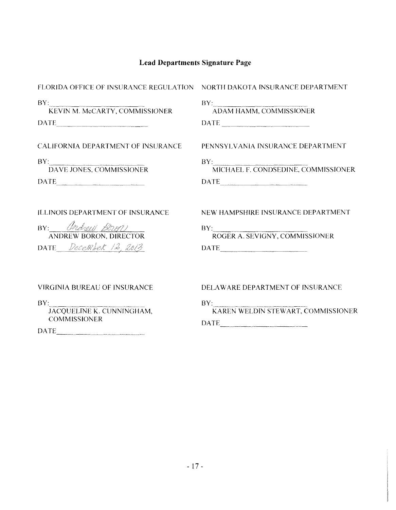| FLORIDA OFFICE OF INSURANCE REGULATION NORTH DAKOTA INSURANCE DEPARTMENT                                                                                                                                                                                      |                                                                                                                                                                                                                                                                                                                                                                                                                                                                                                                                           |
|---------------------------------------------------------------------------------------------------------------------------------------------------------------------------------------------------------------------------------------------------------------|-------------------------------------------------------------------------------------------------------------------------------------------------------------------------------------------------------------------------------------------------------------------------------------------------------------------------------------------------------------------------------------------------------------------------------------------------------------------------------------------------------------------------------------------|
| BY: KEVIN M. McCARTY, COMMISSIONER                                                                                                                                                                                                                            | BY: ADAM HAMM, COMMISSIONER<br>$\begin{tabular}{ c c c c } \hline \multicolumn{3}{ c }{\textbf{DATE}} & \multicolumn{3}{ c }{\textbf{AATE}}\\ \hline \multicolumn{3}{ c }{\textbf{DATE}} & \multicolumn{3}{ c }{\textbf{AATE}}\\ \hline \multicolumn{3}{ c }{\textbf{DATE}} & \multicolumn{3}{ c }{\textbf{AATE}}\\ \hline \multicolumn{3}{ c }{\textbf{AATE}} & \multicolumn{3}{ c }{\textbf{AATE}}\\ \hline \multicolumn{3}{ c }{\textbf{AATE}} & \multicolumn{3}{ c }{\textbf{AATE}}$                                                  |
| <b>CALIFORNIA DEPARTMENT OF INSURANCE</b>                                                                                                                                                                                                                     | PENNSYLVANIA INSURANCE DEPARTMENT                                                                                                                                                                                                                                                                                                                                                                                                                                                                                                         |
| BY: DAVE JONES, COMMISSIONER<br>DATE PRESERVE AND PATE AND RESERVE AND RESERVE AND RESERVE AND RESERVE AND RESERVE AND RESERVE AND RESERVE AND RESERVE AND RESERVE AND RESERVE AND RESERVE AND RESPONDING A SUBSERVE AND RESPONDING A STRUCK AND RESPONDING A | BY: MICHAEL F. CONDSEDINE, COMMISSIONER<br>DATE <b>DATE</b>                                                                                                                                                                                                                                                                                                                                                                                                                                                                               |
| <b>ILLINOIS DEPARTMENT OF INSURANCE</b><br>BY: Ondrew Bron<br><b>ANDREW BORON, DIRECTOR</b><br>DATE December 12, 2013                                                                                                                                         | NEW HAMPSHIRE INSURANCE DEPARTMENT<br>BY: ROGER A. SEVIGNY, COMMISSIONER<br>$\begin{tabular}{ c c c c } \hline \multicolumn{3}{ c }{\textbf{DATE}} & \multicolumn{3}{ c }{\textbf{DATE}} \\ \hline \multicolumn{3}{ c }{\textbf{DATE}} & \multicolumn{3}{ c }{\textbf{DATE}} \\ \hline \multicolumn{3}{ c }{\textbf{DATE}} & \multicolumn{3}{ c }{\textbf{DATE}} \\ \hline \multicolumn{3}{ c }{\textbf{DATE}} & \multicolumn{3}{ c }{\textbf{DATE}} \\ \hline \multicolumn{3}{ c }{\textbf{DATE}} & \multicolumn{3}{ c }{\textbf{DATE}}$ |
| VIRGINIA BUREAU OF INSURANCE<br>BY:<br>JACQUELINE K. CUNNINGHAM,<br><b>COMMISSIONER</b>                                                                                                                                                                       | DELAWARE DEPARTMENT OF INSURANCE<br>BY:<br>:<br>KAREN WELDIN STEWART, COMMISSIONER<br>DATE<br>.<br>1989-baru dan dalam akt <del>era terbentuk da</del> n penanja dan terbentuk dan penanja bermunakan penanjan penanjan di dik                                                                                                                                                                                                                                                                                                            |
|                                                                                                                                                                                                                                                               |                                                                                                                                                                                                                                                                                                                                                                                                                                                                                                                                           |

DATE --------···-------"""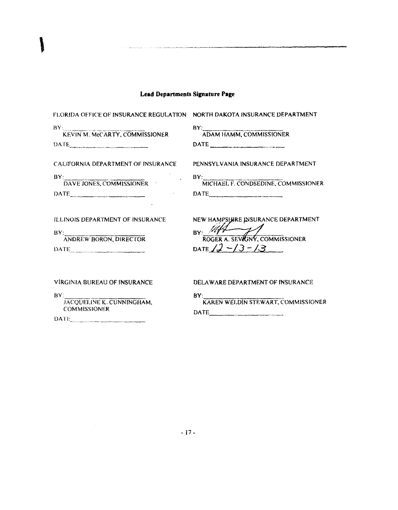| <b>FLORIDA OFFICE OF INSURANCE REGULATION</b> | NORTH DAKOTA INSURANCE DEPARTMENT                    |
|-----------------------------------------------|------------------------------------------------------|
| BY: KEVIN M. McCARTY, COMMISSIONER            | BY: ADAM HAMM, COMMISSIONER                          |
| DATE                                          | DATE                                                 |
| CALIFORNIA DEPARTMENT OF INSURANCE            | PENNSYLVANIA INSURANCE DEPARTMENT                    |
| BY:                                           | BY:                                                  |
| : <b>DAVE JONES, COMMISSIONER</b>             | MICHAEL F. CONDSEDINE, COMMISSIONER                  |
| DATE                                          | DATE                                                 |
| ILLINOIS DEPARTMENT OF INSURANCE              | NEW HAMPSHIRE INSURANCE DEPARTMENT                   |
| BY:                                           | $_{BY:}$ ////                                        |
| <b>ANDREW BORON, DIRECTOR</b>                 | $\frac{24}{\sqrt{2}}$ ROGER A. SEVIONY, COMMISSIONER |
| DATE                                          | DATE $12 - 13 - 13$                                  |
| VIRGINIA BUREAU OF INSURANCE                  | DELAWARE DEPARTMENT OF INSURANCE                     |

BY:<br>JACQUELINE K. CUNNINGHAM,<br>COMMISSIONER

 $\sim$ 

BY: KAREN WELDIN STEWART, COMMISSIONER  $\begin{tabular}{c} DATE \end{tabular}$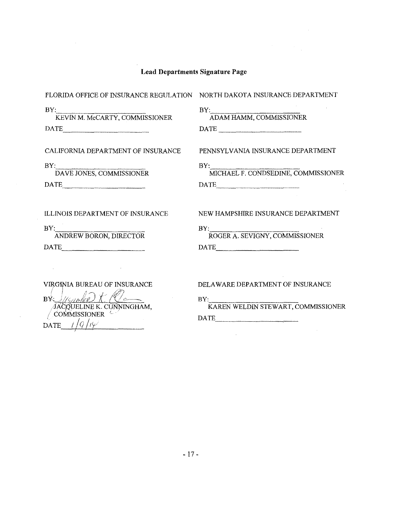| FLORIDA OFFICE OF INSURANCE REGULATION                                                                                                                                                                                                                                                                                                                                                                                                                                                                                              | NORTH DAKOTA INSURANCE DEPARTMENT                                                                                                                                                                                                                                                                                                                                                                                                                                                                        |
|-------------------------------------------------------------------------------------------------------------------------------------------------------------------------------------------------------------------------------------------------------------------------------------------------------------------------------------------------------------------------------------------------------------------------------------------------------------------------------------------------------------------------------------|----------------------------------------------------------------------------------------------------------------------------------------------------------------------------------------------------------------------------------------------------------------------------------------------------------------------------------------------------------------------------------------------------------------------------------------------------------------------------------------------------------|
| BY:<br>KEVIN M. McCARTY, COMMISSIONER<br>DATE                                                                                                                                                                                                                                                                                                                                                                                                                                                                                       | $\frac{\text{BY:}}{\text{ADAM HAMM, COMMISSIONER}}$<br>$\begin{tabular}{c} DATE \end{tabular}$                                                                                                                                                                                                                                                                                                                                                                                                           |
| CALIFORNIA DEPARTMENT OF INSURANCE                                                                                                                                                                                                                                                                                                                                                                                                                                                                                                  | PENNSYLVANIA INSURANCE DEPARTMENT                                                                                                                                                                                                                                                                                                                                                                                                                                                                        |
| $\ensuremath{\mathsf{BY}}\xspace$ :<br>DAVE JONES, COMMISSIONER<br>$\begin{tabular}{ c c c } \hline \multicolumn{3}{ c }{\textbf{DATE}} & \multicolumn{3}{ c }{\textbf{DATE}} \\ \hline \multicolumn{3}{ c }{\textbf{DATE}} & \multicolumn{3}{ c }{\textbf{DATE}} \\ \hline \multicolumn{3}{ c }{\textbf{DATE}} & \multicolumn{3}{ c }{\textbf{DATE}} \\ \hline \multicolumn{3}{ c }{\textbf{DATE}} & \multicolumn{3}{ c }{\textbf{DATE}} \\ \hline \multicolumn{3}{ c }{\textbf{DATE}} & \multicolumn{3}{ c }{\textbf{DATE}} \\ \$ | BY: MICHAEL F. CONDSEDINE, COMMISSIONER<br>$\begin{tabular}{ c c c c } \hline \multicolumn{3}{ c }{\textbf{DATE}} & \multicolumn{3}{ c }{\textbf{DATE}} \\ \hline \multicolumn{3}{ c }{\textbf{DATE}} & \multicolumn{3}{ c }{\textbf{DATE}} \\ \hline \multicolumn{3}{ c }{\textbf{DATE}} & \multicolumn{3}{ c }{\textbf{DATE}} \\ \hline \multicolumn{3}{ c }{\textbf{DATE}} & \multicolumn{3}{ c }{\textbf{DATE}} \\ \hline \multicolumn{3}{ c }{\textbf{DATE}} & \multicolumn{3}{ c }{\textbf{DATE}}$ |
| <b>ILLINOIS DEPARTMENT OF INSURANCE</b>                                                                                                                                                                                                                                                                                                                                                                                                                                                                                             | NEW HAMPSHIRE INSURANCE DEPARTMENT                                                                                                                                                                                                                                                                                                                                                                                                                                                                       |
| BY:<br>ANDREW BORON, DIRECTOR<br>DATE                                                                                                                                                                                                                                                                                                                                                                                                                                                                                               | BY:<br>ROGER A. SEVIGNY, COMMISSIONER<br>$\begin{tabular}{c} DATE \end{tabular}$                                                                                                                                                                                                                                                                                                                                                                                                                         |
| <b>VIRGINIA BUREAU OF INSURANCE</b><br>BY Wount<br>ACQUELINE K. CUNNINGHAM,<br>OMMISSIONER<br><b>DATE</b>                                                                                                                                                                                                                                                                                                                                                                                                                           | DELAWARE DEPARTMENT OF INSURANCE<br>BY:<br>KAREN WELDIN STEWART, COMMISSIONER<br>DATE                                                                                                                                                                                                                                                                                                                                                                                                                    |

 $\label{eq:2.1} \frac{1}{\sqrt{2}}\int_{\mathbb{R}^{2}}\left|\frac{d\mathbf{r}}{d\mathbf{r}}\right|^{2}d\mathbf{r}=\frac{1}{2}\int_{\mathbb{R}^{2}}\left|\frac{d\mathbf{r}}{d\mathbf{r}}\right|^{2}d\mathbf{r}$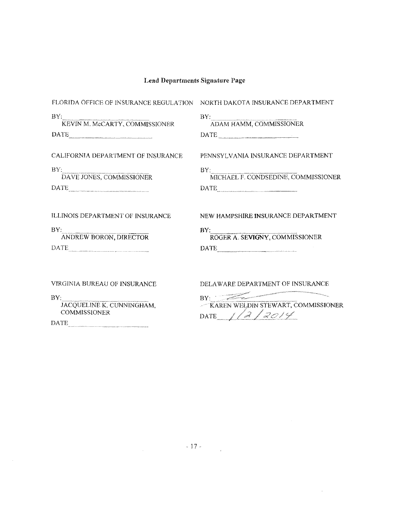| FLORIDA OFFICE OF INSURANCE REGULATION NORTH DAKOTA INSURANCE DEPARTMENT                                                                         |                                              |
|--------------------------------------------------------------------------------------------------------------------------------------------------|----------------------------------------------|
| BY:<br>KEVIN M. McCARTY, COMMISSIONER                                                                                                            | BY:<br>ADAM HAMM, COMMISSIONER               |
| <b>DATE</b><br>.<br>In consider the tradition of the common management approximation paper of the first antities appropriate person to construct | DATE                                         |
| CALIFORNIA DEPARTMENT OF INSURANCE                                                                                                               | PENNSYLVANIA INSURANCE DEPARTMENT            |
| BY:<br>DAVE JONES, COMMISSIONER                                                                                                                  | $BY-$<br>MICHAEL F. CONDSEDINE, COMMISSIONER |
| DATE                                                                                                                                             |                                              |
| ILLINOIS DEPARTMENT OF INSURANCE                                                                                                                 | NEW HAMPSHIRE INSURANCE DEPARTMENT           |
| BV.<br>ANDREW BORON, DIRECTOR                                                                                                                    | <b>BY</b><br>ROGER A. SEVIGNY, COMMISSIONER  |
|                                                                                                                                                  | DATE                                         |
|                                                                                                                                                  |                                              |
| VIRGINIA BUREAU OF INSURANCE                                                                                                                     | DELAWARE DEPARTMENT OF INSURANCE             |
| BY.<br>JACQUELINE K. CUNNINGHAM.                                                                                                                 | RY.<br>-KAREN WELDIN STEWART, COMMISSIONER   |

COMMISSlONER

DATE

|                                    | and the second |
|------------------------------------|----------------|
| KAREN WELDIN STEWART, COMMISSIONER |                |
| <b>TIATE</b>                       |                |
|                                    |                |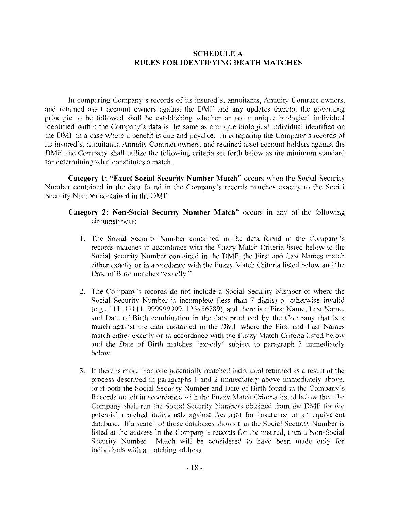## **SCHEDULE A RULES FOR IDENTIFYING DEATH MATCHES**

[n comparing Company's records of its insured's, annuitants, Annuity Contract owners. and retained asset account owners against the DMF and any updates thereto. the governing principle to be followed shall be establishing whether or not a unique biological individual identified within the Company's data is the same as a unique biological individual identified on the DMF in a case where a benefit is due and payable. In comparing the Company·s records of its insured's, annuitants. Annuity Contract owners. and retained asset account holders against the DMF. the Company shall utilize the following criteria set forth below as the minimum standard for determining what constitutes a match.

**Category I: "Exact Social Security Number Match"** occurs when the Social Security Number contained in the data found in the Company's records matches exactly to the Social Security Number contained in the DMF.

- I. The Social Security Number contained in the data fonnd in the Company's records matches in accordance with the Fuzzy Match Criteria listed below to the Social Security Number contained in the DMF, the First and Last Names match either exactly or in accordance with the Fuzzy Match Criteria listed below and the Date of Birth matches "exactly."
- 2. The Company's records do not include a Social Security Number or where the Social Security Number is incomplete (less than 7 digits) or otherwise invalid (e.g., 111111111, 999999999, 123456789), and there is a First Name, Last Name, and Date of Birth combination in the data produced by the Company that is a match against the data contained in the DMF where the First and Last Names match either exactly or in accordance with the Fuzzy Match Criteria listed below and the Date of Birth matches "exactly" subject to paragraph 3 immediately below.
- 3. If there is more than one potentially matched individual returned as a result of the process described in paragraphs I and 2 immediately above immediately above. or if both the Social Security Number and Date of Birth found in the Company's Records match in accordance with the Fuzzy Match Criteria listed below then the Company shall run the Social Security Numbers obtained from the DMF for the potential matched individuals against Accurint for Insurance or an equivalent database. If a search of those databases shows that the Social Security Number is listed at the address in the Company's records for the insured. then a Non-Social Security Number Match will be considered to have been made only for individuals with a matching address.

**Category 2: Non-Social Security Number Match"** occurs in any of the following circumstances: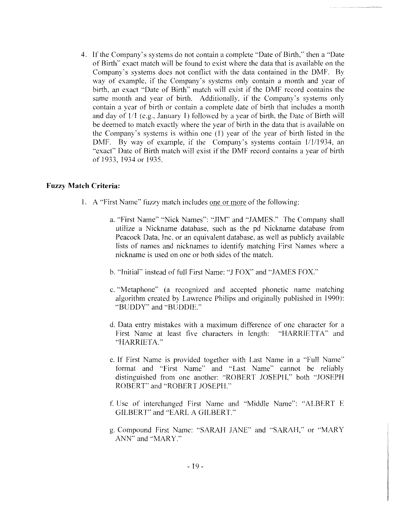4. If the Company"s systems do not contain a complete ''Date of Birth," then a ''Date of Birth'' exact match will be found to exist where the data that is available on the Company's systems does not conflict with the data contained in the DMF. By way of example, if the Company's systems only contain a month and year of birth, an exact ''Date of Birth'' match will exist if the **DMF** record contains the same month and year of birth. Additionally. if the Company's systems only contain a year of birth or contain a complete date of birth that includes a month and day of  $1/1$  (e.g., January I) followed by a year of birth, the Date of Birth will be deemed to match exactly where the year of birth in the data that is available on the Company's systems is within one (I) year of the year of birth listed in the DMF. By way of example, if the Company's systems contain 1/1/1934, an "exact" Date of Birth match will exist if the DMF record contains a year of birth of 1933, 1934 or 1935.

### **Fuzzy Match Criteria:**

- 1. A "First Name" fuzzy match includes one or more of the following:
	- a. "First Name" "Nick Names'': "JIM" and "JAMES." The Company shall utilize a Nickname database, such as the pd Nickname database from Peacock Data, Inc. or an equivalent database, as well as publicly available lists of names and nicknames to identify matching First Names where a nickname is used on one or both sides of the match.
	- b. "Initial" instead of full First Name: ''J FOX' and "JAMES FOX."
	- c. "Metaphone" (a recognized and accepted phonetic name matching algorithm created by Lawrence Philips and originally published in 1990): ·'BUDDY'' and "BUDDIE ...
	- d. Data entry mistakes with a maximum difference of one character for a First Name at least five characters in length: "HARRIETTA" and "HARRIETA.''
	- e. If First Name is provided together with Last Name in a "Full Name" format and "First Name" and "Last Name" cannot be reliably distinguished from one another: "ROBERT JOSEPll,'' both "JOSEPH ROBERT" and "ROBERT JOSEPH.''
	- f Use of interchanged First Name and "Middle Name": "ALBERT E GILBERT" and "EARL A GILBERT."
	- g. Compound First Name: "SARAH JANE" and "SARAH," or "MARY ANN" and "MARY."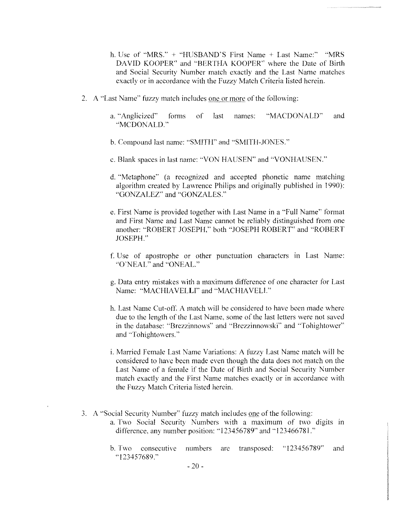- h. Use of "MRS." + "HUSBAND'S First Name + Last Name:" "MRS DAVID KOOPER" and "BERTHA KOOPER" where the Date of Birth and Social Security Number match exactly and the Last Name matches exactly or in accordance with the Fuzzy Match Criteria listed herein.
- 2. A "Last Name" fuzzy match includes one or more of the following:
	- a. "Anglicized" forms of last names: "MACDONALD" and ··MCDONALD."
	- b. Compound last name: "SMITH" and "SMITH-JONES."
	- c. Blank spaces in last name: "VON HAUSEN" and "VONHAUSEN."
	- d. "Metaphone" (a recognized and accepted phonetic name matching algorithm created by Lawrence Philips and originally published in 1990): ·'GONZALEZ" and "GONZALES."
	- e. First Name is provided together with Last Name in a ''Full Name" format and First Name and Last Name cannot be reliably distinguished from one another: ·'ROBERT JOSEPH," both '•JOSEPH ROBERT" and '"ROBERT JOSEPH."
	- f. Use of apostrophe or other punctuation characters in Last Name: "()'NEAL" and "ONEAL.''
	- g. Data entry mistakes with a maximum difference of one character for Last Name: "MACHIAVELLI" and "MACHIAVELI."
	- h. Last Name Cut-off. A match will be considered to have been made where due to the length of the Last Name. some of the last letters were not saved in the database: ''Brezzinnows'" and "Brezzinnowski'' and ''Tohightower" and "Tohightowers."
	- i. Married Female Last Name Variations: A fuzzy Last Name match will be considered to have been made even though the data does not match on the Last Name of a female if the Date of Birth and Social Security Number match exactly and the First Name matches exactly or in accordance with the Fuzzy Match Criteria listed herein.
- 3. A "Social Security Number" fuzzy match includes one of the following: a. Two Social Security Numbers with a maximum of two digits in difference, any number position: "123456789" and "123466781."
	- b. Two consecutive numbers are transposed: "123456789'' and "123457689."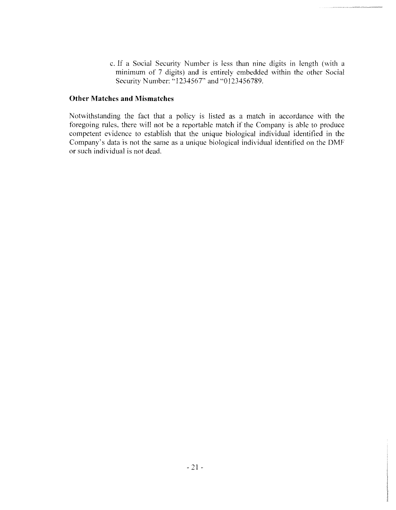c. If a Social Security Number is less than nine digits in length (with a minimum of 7 digits) and is entirely embedded within the other Social Security Number: "1234567" and "0123456789.

### **Other Matches and Mismatches**

Notwithstanding the fact that a policy is listed as a match in accordance with the foregoing rules. there will not be a reportable match if the Company is able to produce competent evidence to establish that the unique biological individual identified in the Company's data is not the same as a unique biological individual identified on the **DMF**  or such individual is not dead.